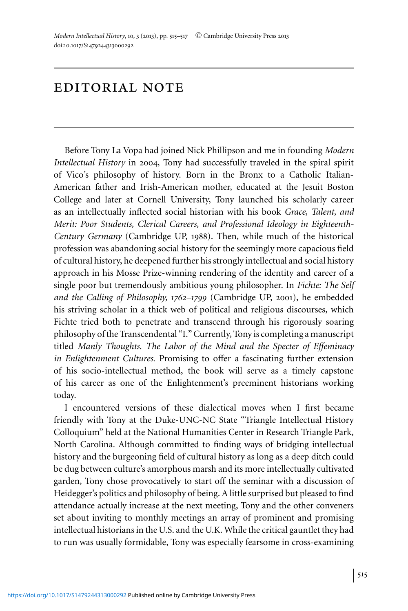## editorial note

Before Tony La Vopa had joined Nick Phillipson and me in founding *Modern Intellectual History* in 2004, Tony had successfully traveled in the spiral spirit of Vico's philosophy of history. Born in the Bronx to a Catholic Italian-American father and Irish-American mother, educated at the Jesuit Boston College and later at Cornell University, Tony launched his scholarly career as an intellectually inflected social historian with his book *Grace, Talent, and Merit: Poor Students, Clerical Careers, and Professional Ideology in Eighteenth-Century Germany* (Cambridge UP, 1988). Then, while much of the historical profession was abandoning social history for the seemingly more capacious field of cultural history, he deepened further his strongly intellectual and social history approach in his Mosse Prize-winning rendering of the identity and career of a single poor but tremendously ambitious young philosopher. In *Fichte: The Self and the Calling of Philosophy, 1762–1799* (Cambridge UP, 2001), he embedded his striving scholar in a thick web of political and religious discourses, which Fichte tried both to penetrate and transcend through his rigorously soaring philosophy of the Transcendental "I." Currently, Tony is completing a manuscript titled *Manly Thoughts. The Labor of the Mind and the Specter of Effeminacy in Enlightenment Cultures*. Promising to offer a fascinating further extension of his socio-intellectual method, the book will serve as a timely capstone of his career as one of the Enlightenment's preeminent historians working today.

I encountered versions of these dialectical moves when I first became friendly with Tony at the Duke-UNC-NC State "Triangle Intellectual History Colloquium" held at the National Humanities Center in Research Triangle Park, North Carolina. Although committed to finding ways of bridging intellectual history and the burgeoning field of cultural history as long as a deep ditch could be dug between culture's amorphous marsh and its more intellectually cultivated garden, Tony chose provocatively to start off the seminar with a discussion of Heidegger's politics and philosophy of being. A little surprised but pleased to find attendance actually increase at the next meeting, Tony and the other conveners set about inviting to monthly meetings an array of prominent and promising intellectual historians in the U.S. and the U.K. While the critical gauntlet they had to run was usually formidable, Tony was especially fearsome in cross-examining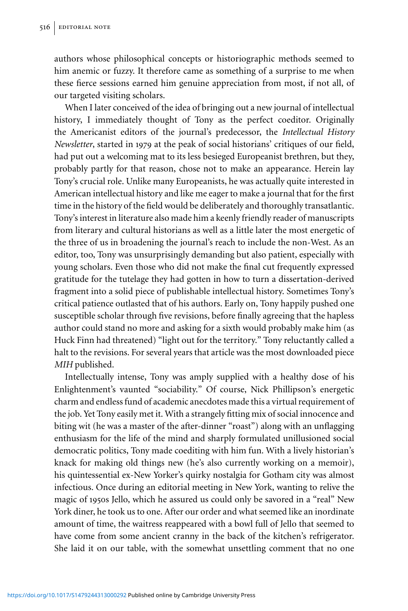authors whose philosophical concepts or historiographic methods seemed to him anemic or fuzzy. It therefore came as something of a surprise to me when these fierce sessions earned him genuine appreciation from most, if not all, of our targeted visiting scholars.

When I later conceived of the idea of bringing out a new journal of intellectual history, I immediately thought of Tony as the perfect coeditor. Originally the Americanist editors of the journal's predecessor, the *Intellectual History Newsletter*, started in 1979 at the peak of social historians' critiques of our field, had put out a welcoming mat to its less besieged Europeanist brethren, but they, probably partly for that reason, chose not to make an appearance. Herein lay Tony's crucial role. Unlike many Europeanists, he was actually quite interested in American intellectual history and like me eager to make a journal that for the first time in the history of the field would be deliberately and thoroughly transatlantic. Tony's interest in literature also made him a keenly friendly reader of manuscripts from literary and cultural historians as well as a little later the most energetic of the three of us in broadening the journal's reach to include the non-West. As an editor, too, Tony was unsurprisingly demanding but also patient, especially with young scholars. Even those who did not make the final cut frequently expressed gratitude for the tutelage they had gotten in how to turn a dissertation-derived fragment into a solid piece of publishable intellectual history. Sometimes Tony's critical patience outlasted that of his authors. Early on, Tony happily pushed one susceptible scholar through five revisions, before finally agreeing that the hapless author could stand no more and asking for a sixth would probably make him (as Huck Finn had threatened) "light out for the territory." Tony reluctantly called a halt to the revisions. For several years that article was the most downloaded piece *MIH* published.

Intellectually intense, Tony was amply supplied with a healthy dose of his Enlightenment's vaunted "sociability." Of course, Nick Phillipson's energetic charm and endless fund of academic anecdotes made this a virtual requirement of the job. Yet Tony easily met it. With a strangely fitting mix of social innocence and biting wit (he was a master of the after-dinner "roast") along with an unflagging enthusiasm for the life of the mind and sharply formulated unillusioned social democratic politics, Tony made coediting with him fun. With a lively historian's knack for making old things new (he's also currently working on a memoir), his quintessential ex-New Yorker's quirky nostalgia for Gotham city was almost infectious. Once during an editorial meeting in New York, wanting to relive the magic of 1950s Jello, which he assured us could only be savored in a "real" New York diner, he took us to one. After our order and what seemed like an inordinate amount of time, the waitress reappeared with a bowl full of Jello that seemed to have come from some ancient cranny in the back of the kitchen's refrigerator. She laid it on our table, with the somewhat unsettling comment that no one